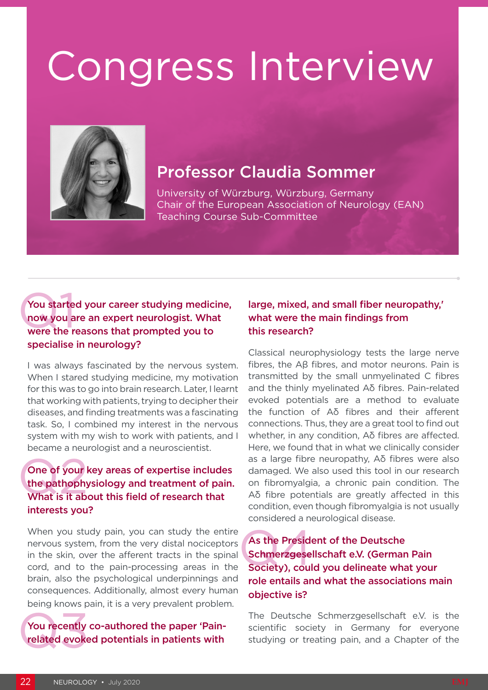# Congress Interview



## Professor Claudia Sommer

University of Würzburg, Würzburg, Germany Chair of the European Association of Neurology (EAN) Teaching Course Sub-Committee

#### You started<br>now you a<br>were the re You started your career studying medicine, now you are an expert neurologist. What were the reasons that prompted you to specialise in neurology?

I was always fascinated by the nervous system. When I stared studying medicine, my motivation for this was to go into brain research. Later, I learnt that working with patients, trying to decipher their diseases, and finding treatments was a fascinating task. So, I combined my interest in the nervous system with my wish to work with patients, and I became a neurologist and a neuroscientist.

#### One of your I<br>the pathophy<br>What is it about One of your key areas of expertise includes the pathophysiology and treatment of pain. What is it about this field of research that interests you?

When you study pain, you can study the entire nervous system, from the very distal nociceptors in the skin, over the afferent tracts in the spinal cord, and to the pain-processing areas in the brain, also the psychological underpinnings and consequences. Additionally, almost every human being knows pain, it is a very prevalent problem.

## You recently<br>related evoke You recently co-authored the paper 'Painrelated evoked potentials in patients with

#### large, mixed, and small fiber neuropathy,' what were the main findings from this research?

Classical neurophysiology tests the large nerve fibres, the Aβ fibres, and motor neurons. Pain is transmitted by the small unmyelinated C fibres and the thinly myelinated Aδ fibres. Pain-related evoked potentials are a method to evaluate the function of Aδ fibres and their afferent connections. Thus, they are a great tool to find out whether, in any condition, Aδ fibres are affected. Here, we found that in what we clinically consider as a large fibre neuropathy, Aδ fibres were also damaged. We also used this tool in our research on fibromyalgia, a chronic pain condition. The Aδ fibre potentials are greatly affected in this condition, even though fibromyalgia is not usually considered a neurological disease.

#### As the Preside<br>Schmerzgese<br>Society), coul As the President of the Deutsche Schmerzgesellschaft e.V. (German Pain Society), could you delineate what your role entails and what the associations main objective is?

The Deutsche Schmerzgesellschaft e.V. is the scientific society in Germany for everyone studying or treating pain, and a Chapter of the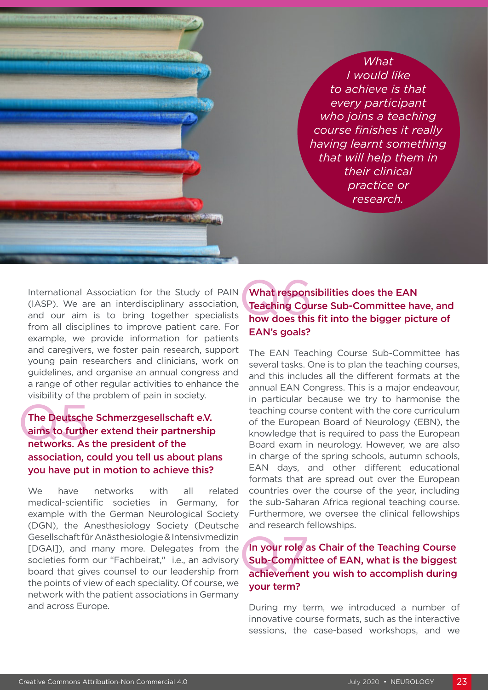*What I would like to achieve is that every participant who joins a teaching course finishes it really having learnt something that will help them in their clinical practice or research.*

International Association for the Study of PAIN (IASP). We are an interdisciplinary association, and our aim is to bring together specialists from all disciplines to improve patient care. For example, we provide information for patients and caregivers, we foster pain research, support young pain researchers and clinicians, work on guidelines, and organise an annual congress and a range of other regular activities to enhance the visibility of the problem of pain in society.

#### The Deutsche<br>aims to furth<br>networks. As The Deutsche Schmerzgesellschaft e.V. aims to further extend their partnership networks. As the president of the association, could you tell us about plans you have put in motion to achieve this?

We have networks with all related medical-scientific societies in Germany, for example with the German Neurological Society (DGN), the Anesthesiology Society (Deutsche Gesellschaft für Anästhesiologie & Intensivmedizin [DGAI]), and many more. Delegates from the societies form our "Fachbeirat," i.e., an advisory board that gives counsel to our leadership from the points of view of each speciality. Of course, we network with the patient associations in Germany and across Europe.

#### What respons<br>Teaching Cou<br>how does this What responsibilities does the EAN Teaching Course Sub-Committee have, and how does this fit into the bigger picture of EAN's goals?

The EAN Teaching Course Sub-Committee has several tasks. One is to plan the teaching courses, and this includes all the different formats at the annual EAN Congress. This is a major endeavour, in particular because we try to harmonise the teaching course content with the core curriculum of the European Board of Neurology (EBN), the knowledge that is required to pass the European Board exam in neurology. However, we are also in charge of the spring schools, autumn schools, EAN days, and other different educational formats that are spread out over the European countries over the course of the year, including the sub-Saharan Africa regional teaching course. Furthermore, we oversee the clinical fellowships and research fellowships.

#### In your role<br>Sub-Commit<br>achievement In your role as Chair of the Teaching Course Sub-Committee of EAN, what is the biggest achievement you wish to accomplish during your term?

During my term, we introduced a number of innovative course formats, such as the interactive sessions, the case-based workshops, and we